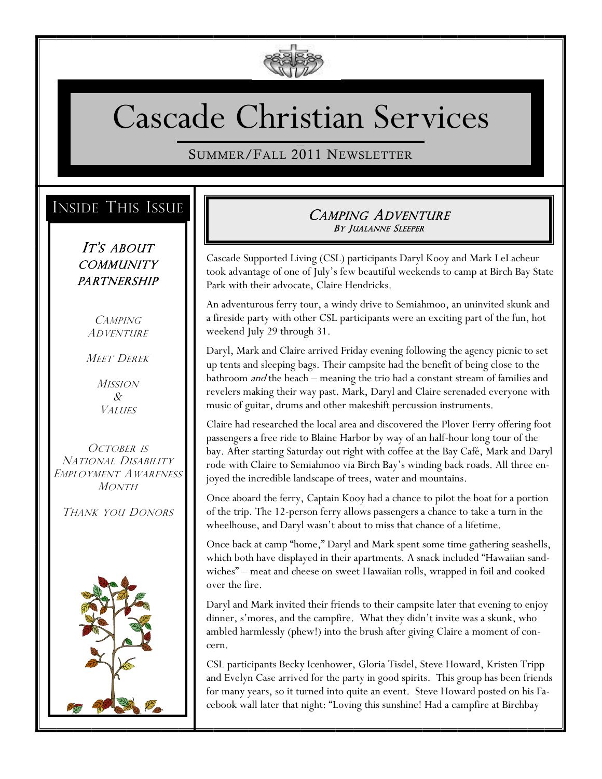

# Cascade Christian Services

SUMMER/FALL 2011 NEWSLETTER

# INSIDE THIS ISSUE

IT'S ABOUT **COMMUNITY** PARTNERSHIP

> **CAMPING** ADVENTURE

MEET DEREK

**MISSION** & **VALUES** 

OCTOBER IS NATIONAL DISABILITY EMPLOYMENT AWARENESS MONTH

THANK YOU DONORS



## CAMPING ADVENTURE BY JUALANNE SLEEPER

Cascade Supported Living (CSL) participants Daryl Kooy and Mark LeLacheur took advantage of one of July's few beautiful weekends to camp at Birch Bay State Park with their advocate, Claire Hendricks.

An adventurous ferry tour, a windy drive to Semiahmoo, an uninvited skunk and a fireside party with other CSL participants were an exciting part of the fun, hot weekend July 29 through 31.

Daryl, Mark and Claire arrived Friday evening following the agency picnic to set up tents and sleeping bags. Their campsite had the benefit of being close to the bathroom and the beach – meaning the trio had a constant stream of families and revelers making their way past. Mark, Daryl and Claire serenaded everyone with music of guitar, drums and other makeshift percussion instruments.

Claire had researched the local area and discovered the Plover Ferry offering foot passengers a free ride to Blaine Harbor by way of an half-hour long tour of the bay. After starting Saturday out right with coffee at the Bay Café, Mark and Daryl rode with Claire to Semiahmoo via Birch Bay's winding back roads. All three enjoyed the incredible landscape of trees, water and mountains.

Once aboard the ferry, Captain Kooy had a chance to pilot the boat for a portion of the trip. The 12-person ferry allows passengers a chance to take a turn in the wheelhouse, and Daryl wasn't about to miss that chance of a lifetime.

Once back at camp "home," Daryl and Mark spent some time gathering seashells, which both have displayed in their apartments. A snack included "Hawaiian sandwiches" – meat and cheese on sweet Hawaiian rolls, wrapped in foil and cooked over the fire.

Daryl and Mark invited their friends to their campsite later that evening to enjoy dinner, s'mores, and the campfire. What they didn't invite was a skunk, who ambled harmlessly (phew!) into the brush after giving Claire a moment of concern.

CSL participants Becky Icenhower, Gloria Tisdel, Steve Howard, Kristen Tripp and Evelyn Case arrived for the party in good spirits. This group has been friends for many years, so it turned into quite an event. Steve Howard posted on his Facebook wall later that night: "Loving this sunshine! Had a campfire at Birchbay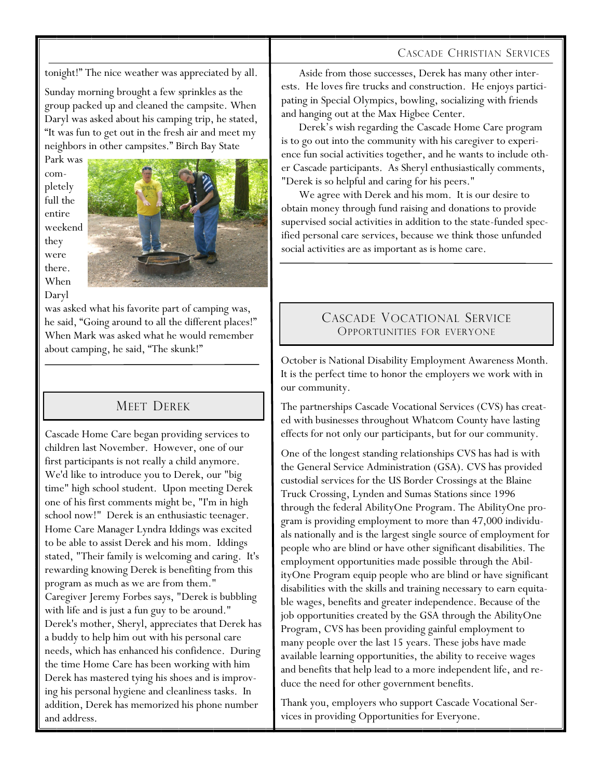#### CASCADE CHRISTIAN SERVICES

tonight!" The nice weather was appreciated by all.

Sunday morning brought a few sprinkles as the group packed up and cleaned the campsite. When Daryl was asked about his camping trip, he stated, "It was fun to get out in the fresh air and meet my neighbors in other campsites." Birch Bay State

Park was completely full the entire weekend they were there. When Daryl



was asked what his favorite part of camping was, he said, "Going around to all the different places!" When Mark was asked what he would remember about camping, he said, "The skunk!"

## MEET DEREK

Cascade Home Care began providing services to children last November. However, one of our first participants is not really a child anymore. We'd like to introduce you to Derek, our "big time" high school student. Upon meeting Derek one of his first comments might be, "I'm in high school now!" Derek is an enthusiastic teenager. Home Care Manager Lyndra Iddings was excited to be able to assist Derek and his mom. Iddings stated, "Their family is welcoming and caring. It's rewarding knowing Derek is benefiting from this program as much as we are from them." Caregiver Jeremy Forbes says, "Derek is bubbling with life and is just a fun guy to be around." Derek's mother, Sheryl, appreciates that Derek has a buddy to help him out with his personal care needs, which has enhanced his confidence. During the time Home Care has been working with him Derek has mastered tying his shoes and is improving his personal hygiene and cleanliness tasks. In addition, Derek has memorized his phone number and address.

Aside from those successes, Derek has many other interests. He loves fire trucks and construction. He enjoys participating in Special Olympics, bowling, socializing with friends and hanging out at the Max Higbee Center.

Derek's wish regarding the Cascade Home Care program is to go out into the community with his caregiver to experience fun social activities together, and he wants to include other Cascade participants. As Sheryl enthusiastically comments, "Derek is so helpful and caring for his peers."

We agree with Derek and his mom. It is our desire to obtain money through fund raising and donations to provide supervised social activities in addition to the state-funded specified personal care services, because we think those unfunded social activities are as important as is home care.

## CASCADE VOCATIONAL SERVICE OPPORTUNITIES FOR EVERYONE

October is National Disability Employment Awareness Month. It is the perfect time to honor the employers we work with in our community.

The partnerships Cascade Vocational Services (CVS) has created with businesses throughout Whatcom County have lasting effects for not only our participants, but for our community.

One of the longest standing relationships CVS has had is with the General Service Administration (GSA). CVS has provided custodial services for the US Border Crossings at the Blaine Truck Crossing, Lynden and Sumas Stations since 1996 through the federal AbilityOne Program. The AbilityOne program is providing employment to more than 47,000 individuals nationally and is the largest single source of employment for people who are blind or have other significant disabilities. The employment opportunities made possible through the AbilityOne Program equip people who are blind or have significant disabilities with the skills and training necessary to earn equitable wages, benefits and greater independence. Because of the job opportunities created by the GSA through the AbilityOne Program, CVS has been providing gainful employment to many people over the last 15 years. These jobs have made available learning opportunities, the ability to receive wages and benefits that help lead to a more independent life, and reduce the need for other government benefits.

Thank you, employers who support Cascade Vocational Services in providing Opportunities for Everyone.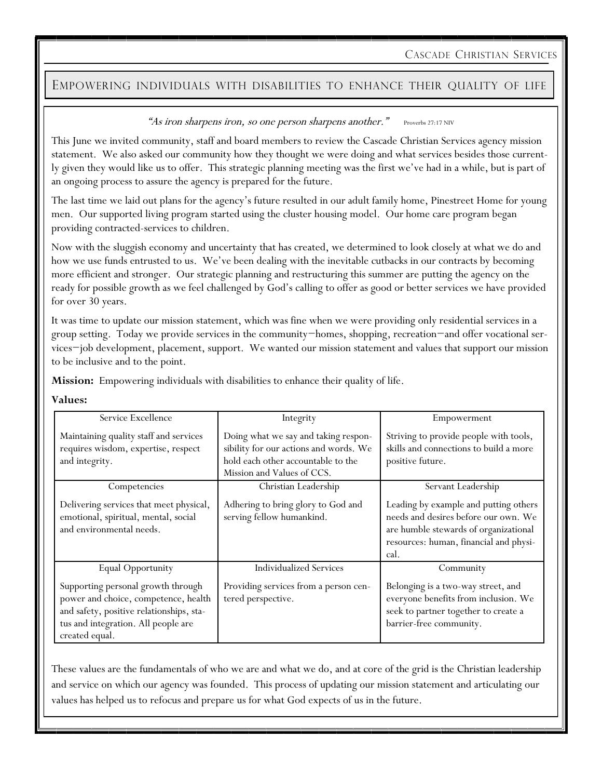CASCADE CHRISTIAN SERVICES

### EMPOWERING INDIVIDUALS WITH DISABILITIES TO ENHANCE THEIR QUALITY OF LIFE

#### "As iron sharpens iron, so one person sharpens another." Proverbs 27:17 NIV

This June we invited community, staff and board members to review the Cascade Christian Services agency mission statement. We also asked our community how they thought we were doing and what services besides those currently given they would like us to offer. This strategic planning meeting was the first we've had in a while, but is part of an ongoing process to assure the agency is prepared for the future.

The last time we laid out plans for the agency's future resulted in our adult family home, Pinestreet Home for young men. Our supported living program started using the cluster housing model. Our home care program began providing contracted-services to children.

Now with the sluggish economy and uncertainty that has created, we determined to look closely at what we do and how we use funds entrusted to us. We've been dealing with the inevitable cutbacks in our contracts by becoming more efficient and stronger. Our strategic planning and restructuring this summer are putting the agency on the ready for possible growth as we feel challenged by God's calling to offer as good or better services we have provided for over 30 years.

It was time to update our mission statement, which was fine when we were providing only residential services in a group setting. Today we provide services in the community−homes, shopping, recreation−and offer vocational services−job development, placement, support. We wanted our mission statement and values that support our mission to be inclusive and to the point.

**Mission:** Empowering individuals with disabilities to enhance their quality of life.

#### **Values:**

| Service Excellence                                                                                                                                                              | Integrity                                                                                                                                          | Empowerment                                                                                                                                                              |
|---------------------------------------------------------------------------------------------------------------------------------------------------------------------------------|----------------------------------------------------------------------------------------------------------------------------------------------------|--------------------------------------------------------------------------------------------------------------------------------------------------------------------------|
| Maintaining quality staff and services<br>requires wisdom, expertise, respect<br>and integrity.                                                                                 | Doing what we say and taking respon-<br>sibility for our actions and words. We<br>hold each other accountable to the<br>Mission and Values of CCS. | Striving to provide people with tools,<br>skills and connections to build a more<br>positive future.                                                                     |
| Competencies                                                                                                                                                                    | Christian Leadership                                                                                                                               | Servant Leadership                                                                                                                                                       |
| Delivering services that meet physical,<br>emotional, spiritual, mental, social<br>and environmental needs.                                                                     | Adhering to bring glory to God and<br>serving fellow humankind.                                                                                    | Leading by example and putting others<br>needs and desires before our own. We<br>are humble stewards of organizational<br>resources: human, financial and physi-<br>cal. |
| Equal Opportunity                                                                                                                                                               | <b>Individualized Services</b>                                                                                                                     | Community                                                                                                                                                                |
| Supporting personal growth through<br>power and choice, competence, health<br>and safety, positive relationships, sta-<br>tus and integration. All people are<br>created equal. | Providing services from a person cen-<br>tered perspective.                                                                                        | Belonging is a two-way street, and<br>everyone benefits from inclusion. We<br>seek to partner together to create a<br>barrier-free community.                            |

These values are the fundamentals of who we are and what we do, and at core of the grid is the Christian leadership and service on which our agency was founded. This process of updating our mission statement and articulating our values has helped us to refocus and prepare us for what God expects of us in the future.